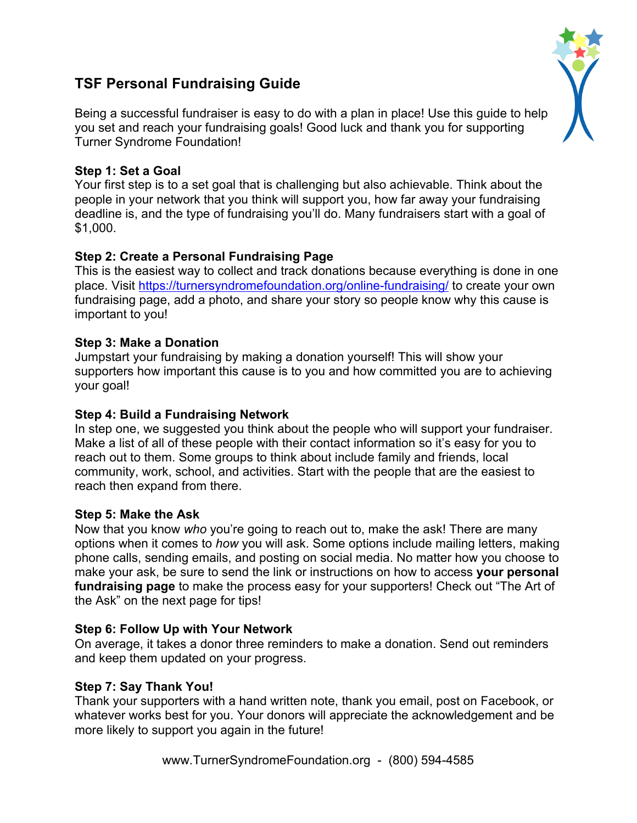# **TSF Personal Fundraising Guide**

Being a successful fundraiser is easy to do with a plan in place! Use this guide to help you set and reach your fundraising goals! Good luck and thank you for supporting Turner Syndrome Foundation!

### **Step 1: Set a Goal**

Your first step is to a set goal that is challenging but also achievable. Think about the people in your network that you think will support you, how far away your fundraising deadline is, and the type of fundraising you'll do. Many fundraisers start with a goal of \$1,000.

### **Step 2: Create a Personal Fundraising Page**

This is the easiest way to collect and track donations because everything is done in one place. Visit https://turnersyndromefoundation.org/online-fundraising/ to create your own fundraising page, add a photo, and share your story so people know why this cause is important to you!

### **Step 3: Make a Donation**

Jumpstart your fundraising by making a donation yourself! This will show your supporters how important this cause is to you and how committed you are to achieving your goal!

### **Step 4: Build a Fundraising Network**

In step one, we suggested you think about the people who will support your fundraiser. Make a list of all of these people with their contact information so it's easy for you to reach out to them. Some groups to think about include family and friends, local community, work, school, and activities. Start with the people that are the easiest to reach then expand from there.

#### **Step 5: Make the Ask**

Now that you know *who* you're going to reach out to, make the ask! There are many options when it comes to *how* you will ask. Some options include mailing letters, making phone calls, sending emails, and posting on social media. No matter how you choose to make your ask, be sure to send the link or instructions on how to access **your personal fundraising page** to make the process easy for your supporters! Check out "The Art of the Ask" on the next page for tips!

### **Step 6: Follow Up with Your Network**

On average, it takes a donor three reminders to make a donation. Send out reminders and keep them updated on your progress.

### **Step 7: Say Thank You!**

Thank your supporters with a hand written note, thank you email, post on Facebook, or whatever works best for you. Your donors will appreciate the acknowledgement and be more likely to support you again in the future!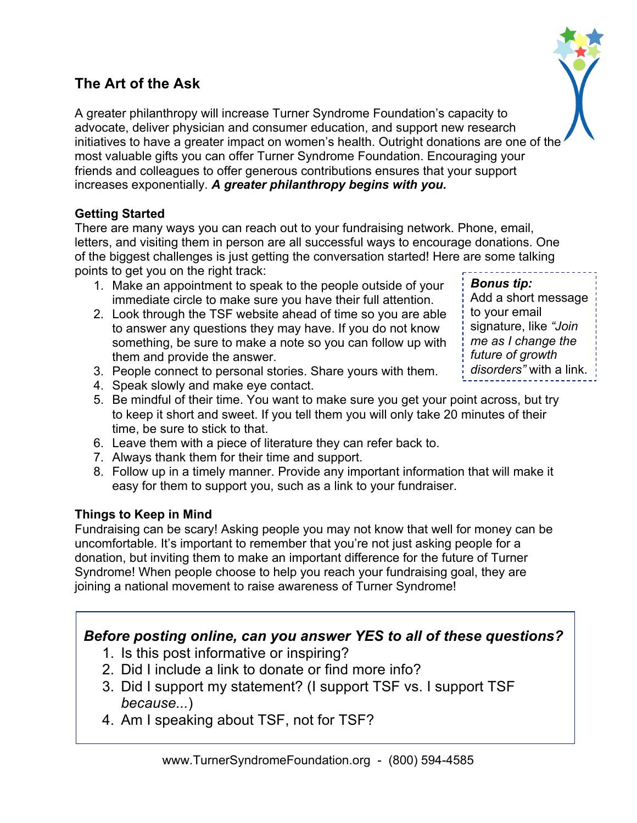# **The Art of the Ask**

A greater philanthropy will increase Turner Syndrome Foundation's capacity to advocate, deliver physician and consumer education, and support new research initiatives to have a greater impact on women's health. Outright donations are one of the most valuable gifts you can offer Turner Syndrome Foundation. Encouraging your friends and colleagues to offer generous contributions ensures that your support increases exponentially. *A greater philanthropy begins with you.*

## **Getting Started**

There are many ways you can reach out to your fundraising network. Phone, email, letters, and visiting them in person are all successful ways to encourage donations. One of the biggest challenges is just getting the conversation started! Here are some talking points to get you on the right track:

- 1. Make an appointment to speak to the people outside of your immediate circle to make sure you have their full attention.
- 2. Look through the TSF website ahead of time so you are able to answer any questions they may have. If you do not know something, be sure to make a note so you can follow up with them and provide the answer.
- 3. People connect to personal stories. Share yours with them.
- 4. Speak slowly and make eye contact.
- 5. Be mindful of their time. You want to make sure you get your point across, but try to keep it short and sweet. If you tell them you will only take 20 minutes of their time, be sure to stick to that.
- 6. Leave them with a piece of literature they can refer back to.
- 7. Always thank them for their time and support.
- 8. Follow up in a timely manner. Provide any important information that will make it easy for them to support you, such as a link to your fundraiser.

## **Things to Keep in Mind**

Fundraising can be scary! Asking people you may not know that well for money can be uncomfortable. It's important to remember that you're not just asking people for a donation, but inviting them to make an important difference for the future of Turner Syndrome! When people choose to help you reach your fundraising goal, they are joining a national movement to raise awareness of Turner Syndrome!

# *Before posting online, can you answer YES to all of these questions?*

- 1. Is this post informative or inspiring?
- 2. Did I include a link to donate or find more info?
- 3. Did I support my statement? (I support TSF vs. I support TSF *because...*)
- 4. Am I speaking about TSF, not for TSF?



*Bonus tip:* Add a short message to your email signature, like *"Join me as I change the future of growth disorders"* with a link.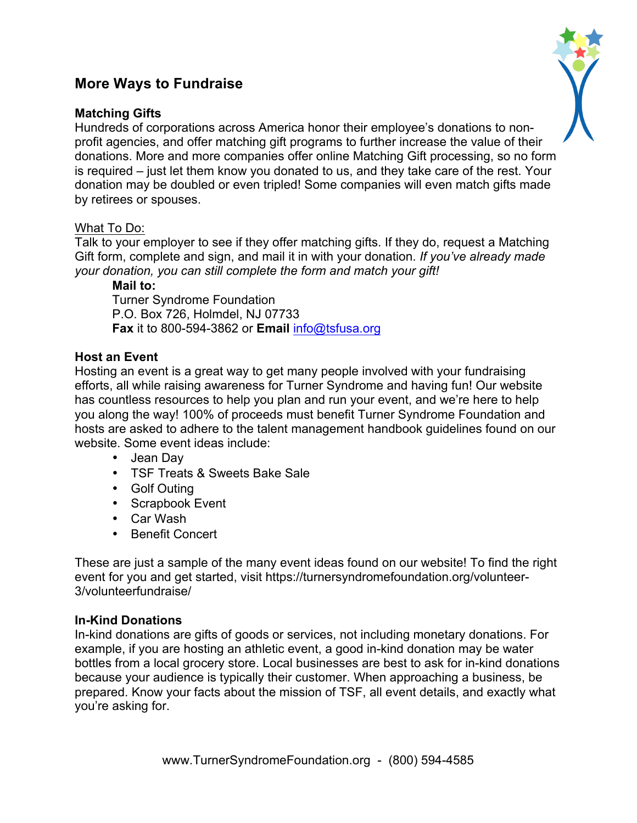# **More Ways to Fundraise**

#### **Matching Gifts**

Hundreds of corporations across America honor their employee's donations to nonprofit agencies, and offer matching gift programs to further increase the value of their donations. More and more companies offer online Matching Gift processing, so no form is required – just let them know you donated to us, and they take care of the rest. Your donation may be doubled or even tripled! Some companies will even match gifts made by retirees or spouses.

#### What To Do:

Talk to your employer to see if they offer matching gifts. If they do, request a Matching Gift form, complete and sign, and mail it in with your donation. *If you've already made your donation, you can still complete the form and match your gift!*

**Mail to:**

Turner Syndrome Foundation P.O. Box 726, Holmdel, NJ 07733 **Fax** it to 800-594-3862 or **Email** info@tsfusa.org

#### **Host an Event**

Hosting an event is a great way to get many people involved with your fundraising efforts, all while raising awareness for Turner Syndrome and having fun! Our website has countless resources to help you plan and run your event, and we're here to help you along the way! 100% of proceeds must benefit Turner Syndrome Foundation and hosts are asked to adhere to the talent management handbook guidelines found on our website. Some event ideas include:

- Jean Day
- TSF Treats & Sweets Bake Sale
- Golf Outing
- Scrapbook Event
- Car Wash
- Benefit Concert

These are just a sample of the many event ideas found on our website! To find the right event for you and get started, visit https://turnersyndromefoundation.org/volunteer-3/volunteerfundraise/

#### **In-Kind Donations**

In-kind donations are gifts of goods or services, not including monetary donations. For example, if you are hosting an athletic event, a good in-kind donation may be water bottles from a local grocery store. Local businesses are best to ask for in-kind donations because your audience is typically their customer. When approaching a business, be prepared. Know your facts about the mission of TSF, all event details, and exactly what you're asking for.

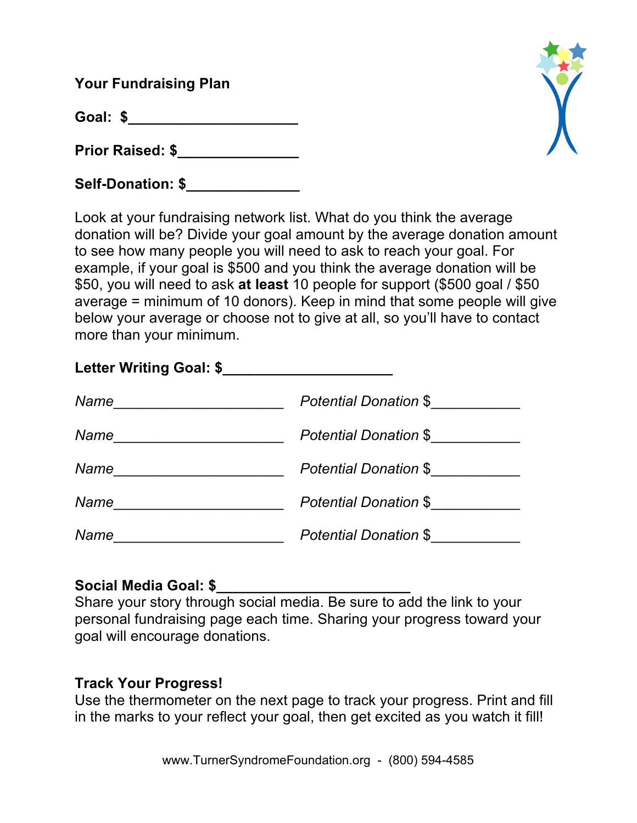**Your Fundraising Plan**

**Goal: \$\_\_\_\_\_\_\_\_\_\_\_\_\_\_\_\_\_\_\_\_\_**

**Prior Raised: \$\_\_\_\_\_\_\_\_\_\_\_\_\_\_\_** 

Self-Donation: \$



Look at your fundraising network list. What do you think the average donation will be? Divide your goal amount by the average donation amount to see how many people you will need to ask to reach your goal. For example, if your goal is \$500 and you think the average donation will be \$50, you will need to ask **at least** 10 people for support (\$500 goal / \$50 average = minimum of 10 donors). Keep in mind that some people will give below your average or choose not to give at all, so you'll have to contact more than your minimum.

| Letter Writing Goal: \$ |                       |
|-------------------------|-----------------------|
| Name                    | Potential Donation \$ |
| Name                    | Potential Donation \$ |
| Name                    | Potential Donation \$ |
| Name                    | Potential Donation \$ |
| Name                    | Potential Donation \$ |

# **Social Media Goal: \$\_\_\_\_\_\_\_\_\_\_\_\_\_\_\_\_\_\_\_\_\_\_\_\_**

Share your story through social media. Be sure to add the link to your personal fundraising page each time. Sharing your progress toward your goal will encourage donations.

# **Track Your Progress!**

Use the thermometer on the next page to track your progress. Print and fill in the marks to your reflect your goal, then get excited as you watch it fill!